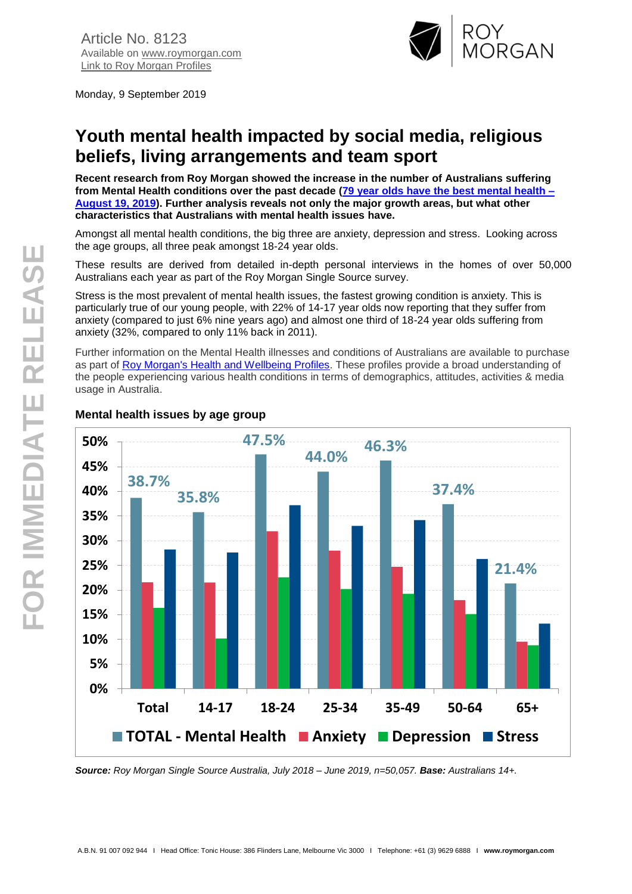

Monday, 9 September 2019

# **Youth mental health impacted by social media, religious beliefs, living arrangements and team sport**

**Recent research from Roy Morgan showed the increase in the number of Australians suffering from Mental Health conditions over the past decade [\(79 year olds have the best mental health –](http://www.roymorgan.com/findings/8094-australian-mental-health-conditions-june-2019-201908150636) [August 19, 2019\)](http://www.roymorgan.com/findings/8094-australian-mental-health-conditions-june-2019-201908150636). Further analysis reveals not only the major growth areas, but what other characteristics that Australians with mental health issues have.**

Amongst all mental health conditions, the big three are anxiety, depression and stress. Looking across the age groups, all three peak amongst 18-24 year olds.

These results are derived from detailed in-depth personal interviews in the homes of over 50,000 Australians each year as part of the Roy Morgan Single Source survey.

Stress is the most prevalent of mental health issues, the fastest growing condition is anxiety. This is particularly true of our young people, with 22% of 14-17 year olds now reporting that they suffer from anxiety (compared to just 6% nine years ago) and almost one third of 18-24 year olds suffering from anxiety (32%, compared to only 11% back in 2011).

Further information on the Mental Health illnesses and conditions of Australians are available to purchase as part of Roy Morgan's [Health and Wellbeing Profiles.](https://store.roymorgan.com/products/australia/health-and-wellbeing/illnesses-and-conditions) These profiles provide a broad understanding of the people experiencing various health conditions in terms of demographics, attitudes, activities & media usage in Australia.



# **Mental health issues by age group**

*Source: Roy Morgan Single Source Australia, July 2018 – June 2019, n=50,057. Base: Australians 14+.*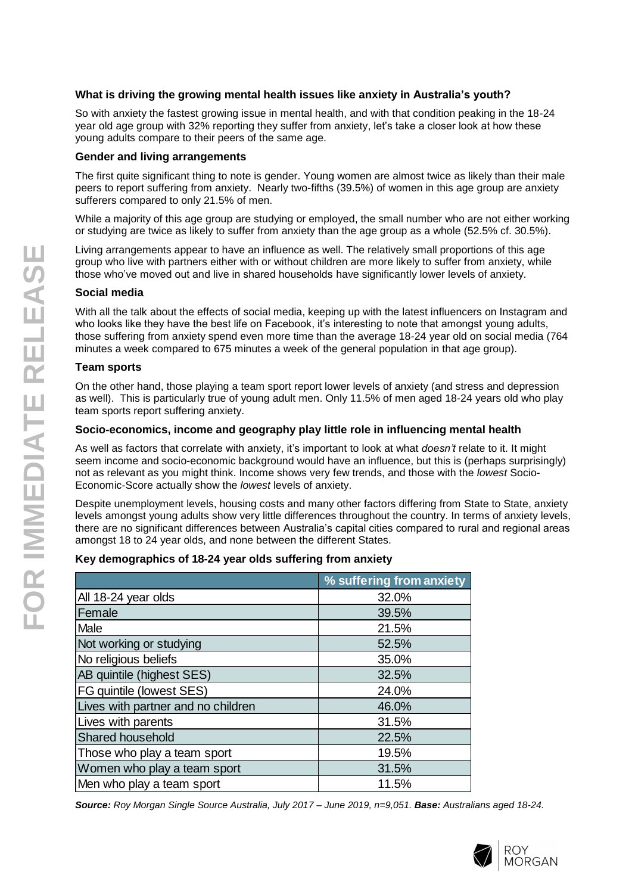# **What is driving the growing mental health issues like anxiety in Australia's youth?**

So with anxiety the fastest growing issue in mental health, and with that condition peaking in the 18-24 year old age group with 32% reporting they suffer from anxiety, let's take a closer look at how these young adults compare to their peers of the same age.

#### **Gender and living arrangements**

The first quite significant thing to note is gender. Young women are almost twice as likely than their male peers to report suffering from anxiety. Nearly two-fifths (39.5%) of women in this age group are anxiety sufferers compared to only 21.5% of men.

While a majority of this age group are studying or employed, the small number who are not either working or studying are twice as likely to suffer from anxiety than the age group as a whole (52.5% cf. 30.5%).

Living arrangements appear to have an influence as well. The relatively small proportions of this age group who live with partners either with or without children are more likely to suffer from anxiety, while those who've moved out and live in shared households have significantly lower levels of anxiety.

# **Social media**

With all the talk about the effects of social media, keeping up with the latest influencers on Instagram and who looks like they have the best life on Facebook, it's interesting to note that amongst young adults, those suffering from anxiety spend even more time than the average 18-24 year old on social media (764 minutes a week compared to 675 minutes a week of the general population in that age group).

#### **Team sports**

On the other hand, those playing a team sport report lower levels of anxiety (and stress and depression as well). This is particularly true of young adult men. Only 11.5% of men aged 18-24 years old who play team sports report suffering anxiety.

# **Socio-economics, income and geography play little role in influencing mental health**

As well as factors that correlate with anxiety, it's important to look at what *doesn't* relate to it. It might seem income and socio-economic background would have an influence, but this is (perhaps surprisingly) not as relevant as you might think. Income shows very few trends, and those with the *lowest* Socio-Economic-Score actually show the *lowest* levels of anxiety.

Despite unemployment levels, housing costs and many other factors differing from State to State, anxiety levels amongst young adults show very little differences throughout the country. In terms of anxiety levels, there are no significant differences between Australia's capital cities compared to rural and regional areas amongst 18 to 24 year olds, and none between the different States.

# **Key demographics of 18-24 year olds suffering from anxiety**

|                                    | % suffering from anxiety |  |
|------------------------------------|--------------------------|--|
| All 18-24 year olds                | 32.0%                    |  |
| Female                             | 39.5%                    |  |
| Male                               | 21.5%                    |  |
| Not working or studying            | 52.5%                    |  |
| No religious beliefs               | 35.0%                    |  |
| AB quintile (highest SES)          | 32.5%                    |  |
| FG quintile (lowest SES)           | 24.0%                    |  |
| Lives with partner and no children | 46.0%                    |  |
| Lives with parents                 | 31.5%                    |  |
| Shared household                   | 22.5%                    |  |
| Those who play a team sport        | 19.5%                    |  |
| Women who play a team sport        | 31.5%                    |  |
| Men who play a team sport          | 11.5%                    |  |

*Source: Roy Morgan Single Source Australia, July 2017 – June 2019, n=9,051. Base: Australians aged 18-24.*